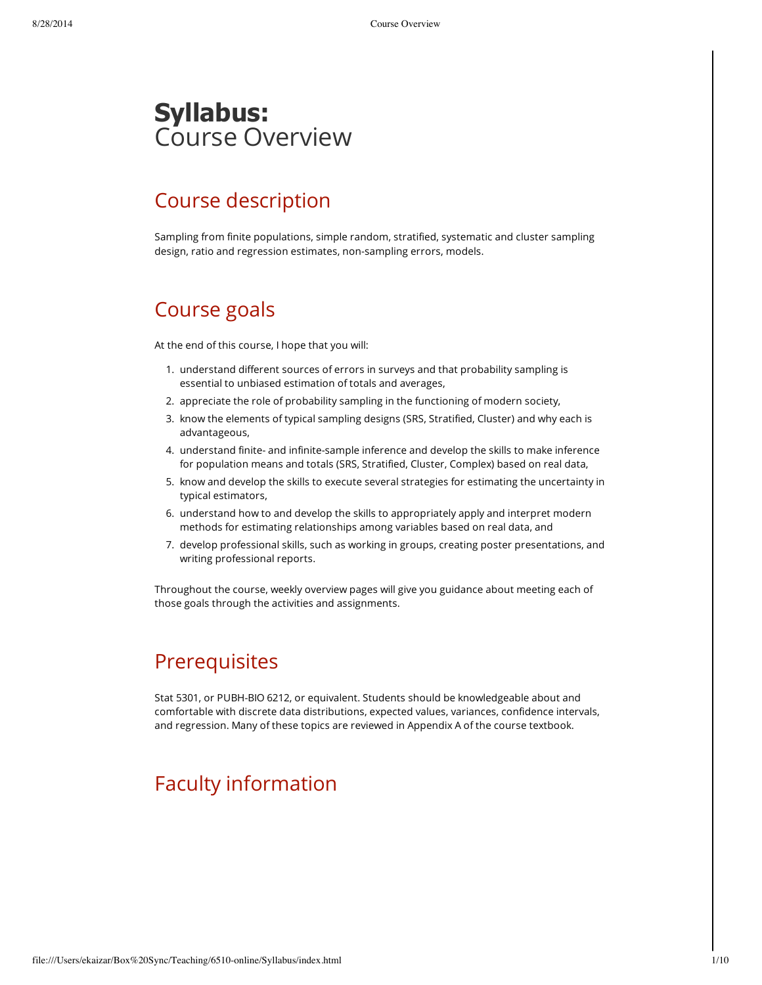## **Syllabus:** Course Overview

## Course description

Sampling from finite populations, simple random, stratified, systematic and cluster sampling design, ratio and regression estimates, non-sampling errors, models.

#### Course goals

At the end of this course, I hope that you will:

- 1. understand different sources of errors in surveys and that probability sampling is essential to unbiased estimation of totals and averages,
- 2. appreciate the role of probability sampling in the functioning of modern society,
- 3. know the elements of typical sampling designs (SRS, Stratified, Cluster) and why each is advantageous,
- 4. understand finite- and infinite-sample inference and develop the skills to make inference for population means and totals (SRS, Stratified, Cluster, Complex) based on real data,
- 5. know and develop the skills to execute several strategies for estimating the uncertainty in typical estimators,
- 6. understand how to and develop the skills to appropriately apply and interpret modern methods for estimating relationships among variables based on real data, and
- 7. develop professional skills, such as working in groups, creating poster presentations, and writing professional reports.

Throughout the course, weekly overview pages will give you guidance about meeting each of those goals through the activities and assignments.

#### **Prerequisites**

Stat 5301, or PUBH-BIO 6212, or equivalent. Students should be knowledgeable about and comfortable with discrete data distributions, expected values, variances, confidence intervals, and regression. Many of these topics are reviewed in Appendix A of the course textbook.

## Faculty information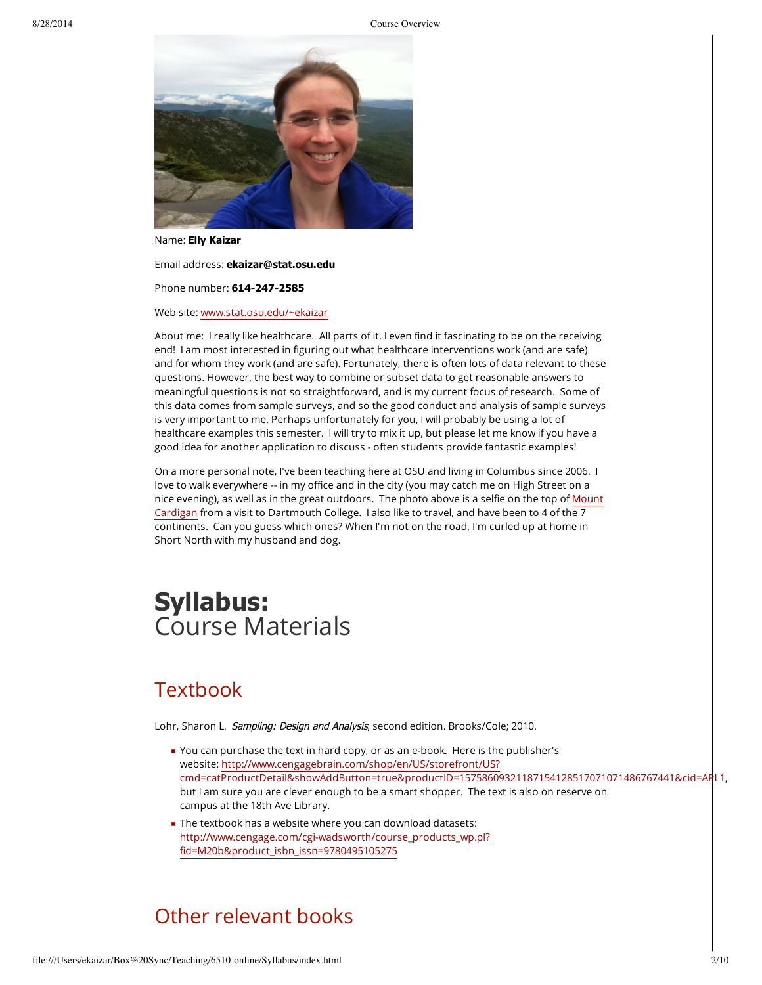

Name: **Elly Kaizar**

Email address: **ekaizar@stat.osu.edu**

Phone number: 614-247-2585

Web site: [www.stat.osu.edu/~ekaizar](http://www.stat.osu.edu/~ekaizar)

About me: I really like healthcare. All parts of it. I even find it fascinating to be on the receiving end! I am most interested in figuring out what healthcare interventions work (and are safe) and for whom they work (and are safe). Fortunately, there is often lots of data relevant to these questions. However, the best way to combine or subset data to get reasonable answers to meaningful questions is not so straightforward, and is my current focus of research. Some of this data comes from sample surveys, and so the good conduct and analysis of sample surveys is very important to me. Perhaps unfortunately for you, I will probably be using a lot of healthcare examples this semester. I will try to mix it up, but please let me know if you have a good idea for another application to discuss - often students provide fantastic examples!

On a more personal note, I've been teaching here at OSU and living in Columbus since 2006. I love to walk everywhere -- in my office and in the city (you may catch me on High Street on a nice evening), as well as in the great outdoors. The photo above is a selfie on the top of Mount Cardigan from a visit to [Dartmouth](http://en.wikipedia.org/wiki/Mount_Cardigan) College. I also like to travel, and have been to 4 of the 7 continents. Can you guess which ones? When I'm not on the road, I'm curled up at home in Short North with my husband and dog.

## **Syllabus:** Course Materials

#### **Textbook**

Lohr, Sharon L. Sampling: Design and Analysis, second edition. Brooks/Cole; 2010.

- You can purchase the text in hard copy, or as an e-book. Here is the publisher's website: http://www.cengagebrain.com/shop/en/US/storefront/US? [cmd=catProductDetail&showAddButton=true&productID=15758609321187154128517071071486767441&cid=APL1,](http://www.cengagebrain.com/shop/en/US/storefront/US?cmd=catProductDetail&showAddButton=true&productID=15758609321187154128517071071486767441&cid=APL1) but I am sure you are clever enough to be a smart shopper. The text is also on reserve on campus at the 18th Ave Library.
- The textbook has a website where you can download datasets: [http://www.cengage.com/cgi-wadsworth/course\\_products\\_wp.pl?](http://www.cengage.com/cgi-wadsworth/course_products_wp.pl?fid=M20b&product_isbn_issn=9780495105275) fid=M20b&product\_isbn\_issn=9780495105275

#### Other relevant books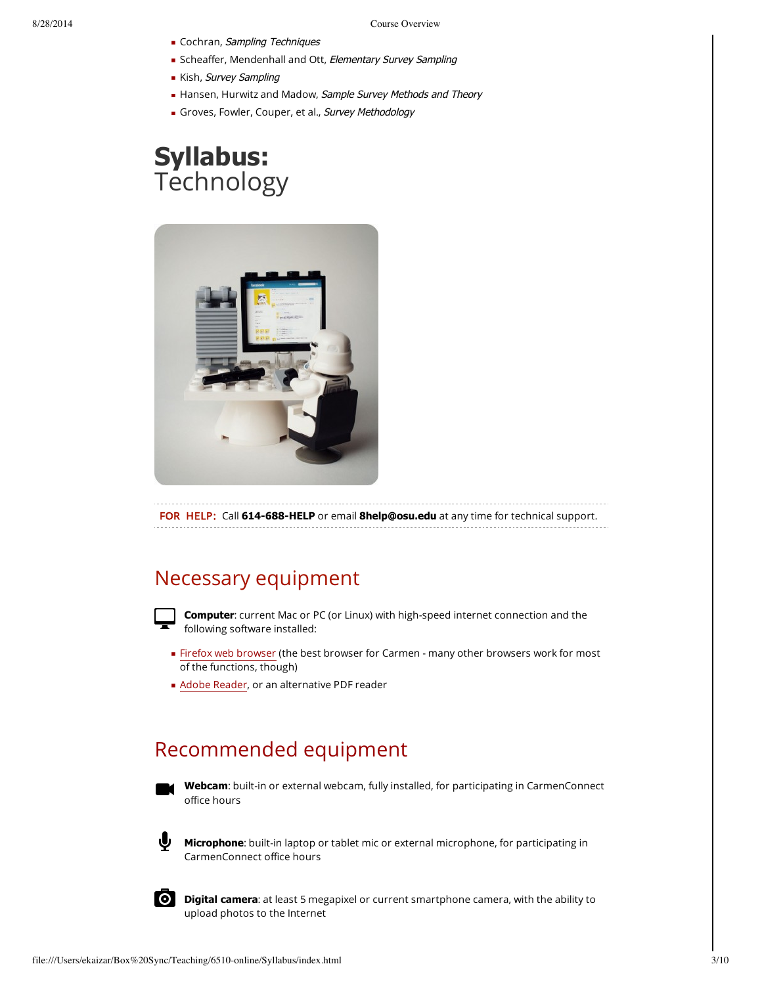- Cochran, Sampling Techniques
- **Scheaffer, Mendenhall and Ott, Elementary Survey Sampling**
- Kish, Survey Sampling
- Hansen, Hurwitz and Madow, Sample Survey Methods and Theory
- Groves, Fowler, Couper, et al., Survey Methodology

## **Syllabus:** Technology



FOR HELP: Call 614-688-HELP or email **8help@osu.edu** at any time for technical support.

#### Necessary equipment



**Computer**: current Mac or PC (or Linux) with high-speed internet connection and the following software installed:

- Firefox web [browser](https://www.mozilla.org/en-US/firefox/new/) (the best browser for Carmen many other browsers work for most of the functions, though)
- **Adobe [Reader,](http://get.adobe.com/reader/) or an alternative PDF reader**

### Recommended equipment



**Webcam**: built-in or external webcam, fully installed, for participating in CarmenConnect office hours



**Microphone**: built-in laptop or tablet mic or external microphone, for participating in CarmenConnect office hours



**Digital camera**: at least 5 megapixel or current smartphone camera, with the ability to upload photos to the Internet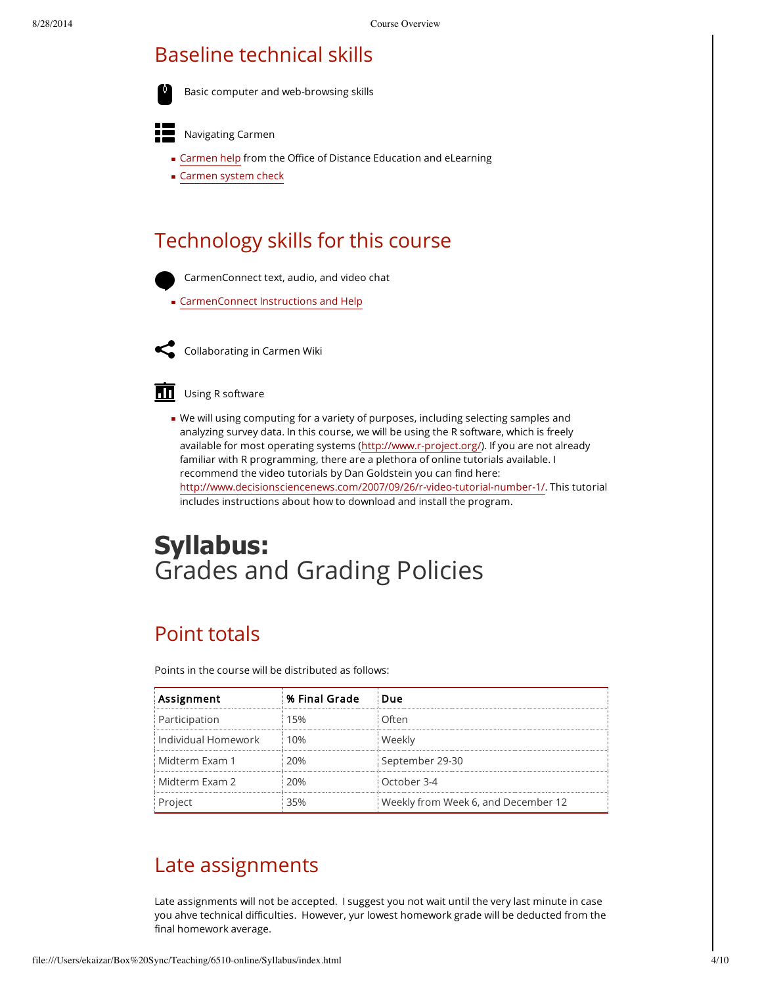### Baseline technical skills

Basic computer and web-browsing skills



- **EXECT** [Carmen](http://odee.osu.edu/resourcecenter/carmen) help from the Office of Distance Education and eLearning
- **[Carmen](file:///d2l/systemCheck) system check**

#### Technology skills for this course



CarmenConnect text, audio, and video chat

**[CarmenConnect](https://ocio.osu.edu/elearning/services/tools/carmenconnect/participants/) Instructions and Help** 



Collaborating in Carmen Wiki

#### Using R software

We will using computing for a variety of purposes, including selecting samples and analyzing survey data. In this course, we will be using the R software, which is freely available for most operating systems ([http://www.r-project.org/\)](http://www.r-project.org/). If you are not already familiar with R programming, there are a plethora of online tutorials available. I recommend the video tutorials by Dan Goldstein you can find here: [http://www.decisionsciencenews.com/2007/09/26/r-video-tutorial-number-1/.](http://www.decisionsciencenews.com/2007/09/26/r-video-tutorial-number-1/) This tutorial includes instructions about how to download and install the program.

# **Syllabus:** Grades and Grading Policies

#### Point totals

Points in the course will be distributed as follows:

| Assignment            | % Final Grade | Due                                 |
|-----------------------|---------------|-------------------------------------|
| Participation         | 15%           | ∩ften                               |
| i Individual Homework | 10%           | Weekly                              |
| i Midterm Exam 1      | 20%           | September 29-30                     |
| Midterm Exam 2        | 20%           | October 3-4                         |
| Project               | 35%           | Weekly from Week 6, and December 12 |

#### Late assignments

Late assignments will not be accepted. I suggest you not wait until the very last minute in case you ahve technical difficulties. However, yur lowest homework grade will be deducted from the final homework average.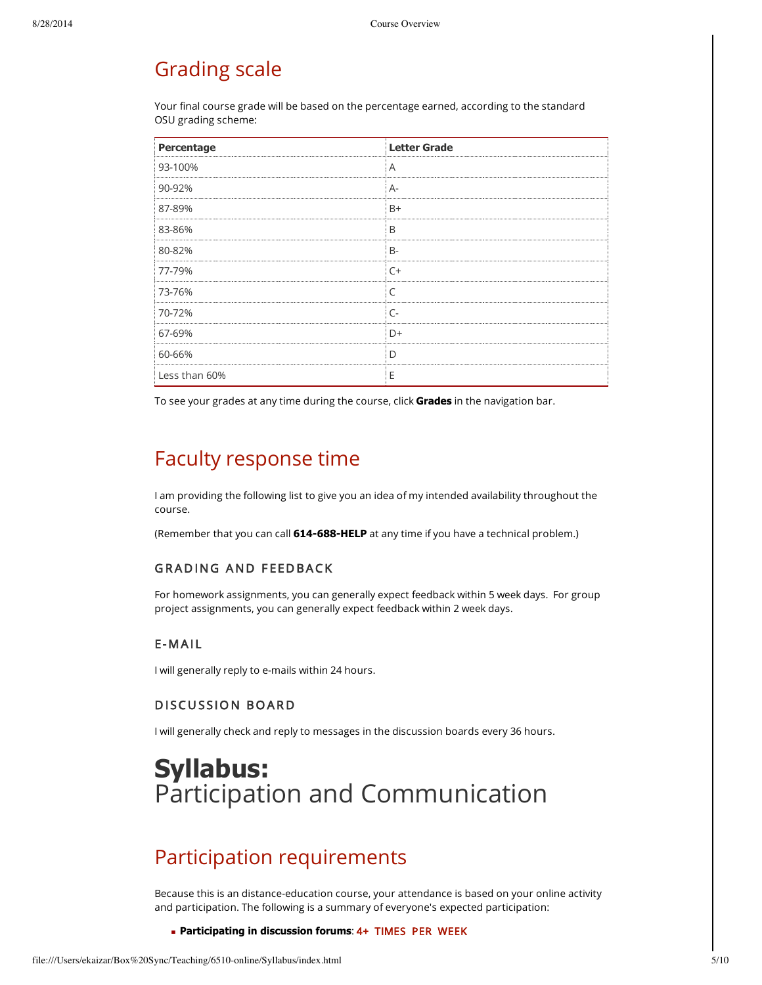### Grading scale

Your final course grade will be based on the percentage earned, according to the standard OSU grading scheme:

| Percentage                                | <b>Letter Grade</b> |
|-------------------------------------------|---------------------|
| 93-100%                                   | Α                   |
| 90-92%                                    | $A-$                |
| 87-89%                                    | $B+$                |
| 83-86%                                    | B                   |
| 80-82%<br>------------------------------- | $B -$               |
| 77-79%                                    | $C+$                |
| 73-76%                                    | $\subset$           |
| 70-72%                                    | $\subset$           |
| 67-69%                                    | $D+$                |
| 60-66%                                    | D                   |
| Less than 60%                             | Е                   |

To see your grades at any time during the course, click **Grades** in the navigation bar.

#### Faculty response time

I am providing the following list to give you an idea of my intended availability throughout the course.

(Remember that you can call **614688HELP** at any time if you have a technical problem.)

#### GRADING AND FEEDBACK

For homework assignments, you can generally expect feedback within 5 week days. For group project assignments, you can generally expect feedback within 2 week days.

#### E- M A I L

I will generally reply to e-mails within 24 hours.

#### DISCUSSION BOARD

I will generally check and reply to messages in the discussion boards every 36 hours.

## **Syllabus:** Participation and Communication

### Participation requirements

Because this is an distance-education course, your attendance is based on your online activity and participation. The following is a summary of everyone's expected participation:

**Participating in discussion forums**: 4+ TIMES PER WEEK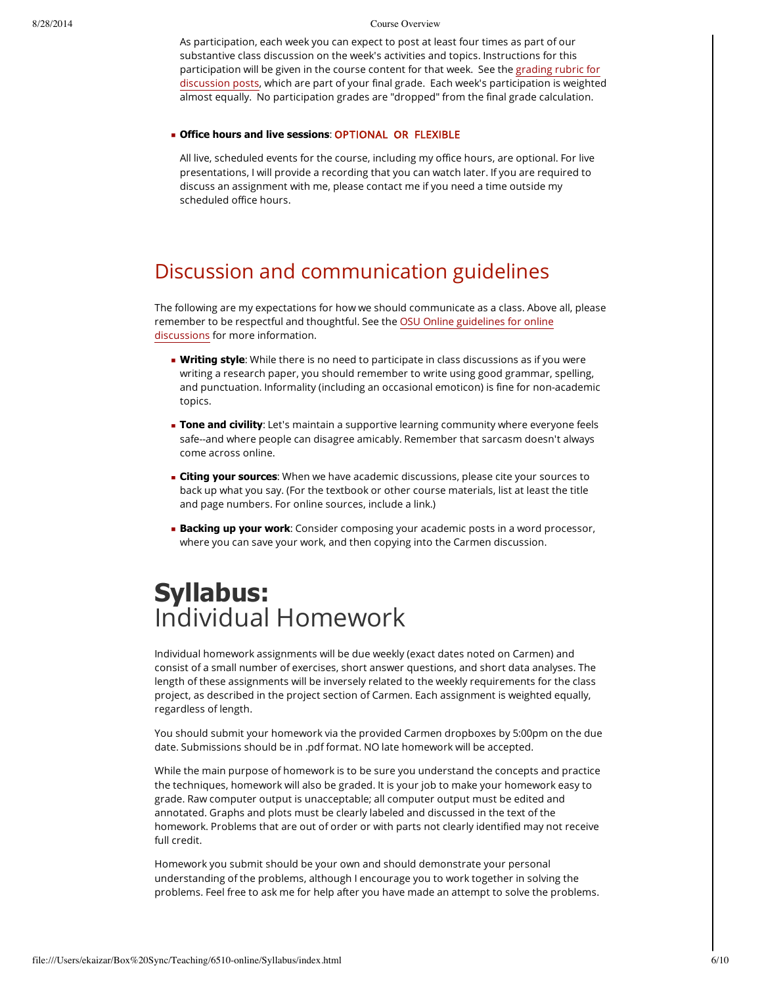As participation, each week you can expect to post at least four times as part of our substantive class discussion on the week's activities and topics. Instructions for this participation will be given in the course content for that week. See the grading rubric for discussion posts, which are part of your final grade. Each week's [participation](file:///d2l/lp/rubrics/edit.d2l?rubricId=6177&ou=11256428) is weighted almost equally. No participation grades are "dropped" from the final grade calculation.

#### **Office hours and live sessions**: OPTIONAL OR FLEXIBLE

All live, scheduled events for the course, including my office hours, are optional. For live presentations, I will provide a recording that you can watch later. If you are required to discuss an assignment with me, please contact me if you need a time outside my scheduled office hours.

### Discussion and communication guidelines

The following are my expectations for how we should communicate as a class. Above all, please remember to be respectful and thoughtful. See the OSU Online guidelines for online discussions for more [information.](http://odee.osu.edu/)

- **Writing style**: While there is no need to participate in class discussions as if you were writing a research paper, you should remember to write using good grammar, spelling, and punctuation. Informality (including an occasional emoticon) is fine for non-academic topics.
- **Tone and civility**: Let's maintain a supportive learning community where everyone feels safe--and where people can disagree amicably. Remember that sarcasm doesn't always come across online.
- **Citing your sources**: When we have academic discussions, please cite your sources to back up what you say. (For the textbook or other course materials, list at least the title and page numbers. For online sources, include a link.)
- **Backing up your work**: Consider composing your academic posts in a word processor, where you can save your work, and then copying into the Carmen discussion.

## **Syllabus:** Individual Homework

Individual homework assignments will be due weekly (exact dates noted on Carmen) and consist of a small number of exercises, short answer questions, and short data analyses. The length of these assignments will be inversely related to the weekly requirements for the class project, as described in the project section of Carmen. Each assignment is weighted equally, regardless of length.

You should submit your homework via the provided Carmen dropboxes by 5:00pm on the due date. Submissions should be in .pdf format. NO late homework will be accepted.

While the main purpose of homework is to be sure you understand the concepts and practice the techniques, homework will also be graded. It is your job to make your homework easy to grade. Raw computer output is unacceptable; all computer output must be edited and annotated. Graphs and plots must be clearly labeled and discussed in the text of the homework. Problems that are out of order or with parts not clearly identified may not receive full credit.

Homework you submit should be your own and should demonstrate your personal understanding of the problems, although I encourage you to work together in solving the problems. Feel free to ask me for help after you have made an attempt to solve the problems.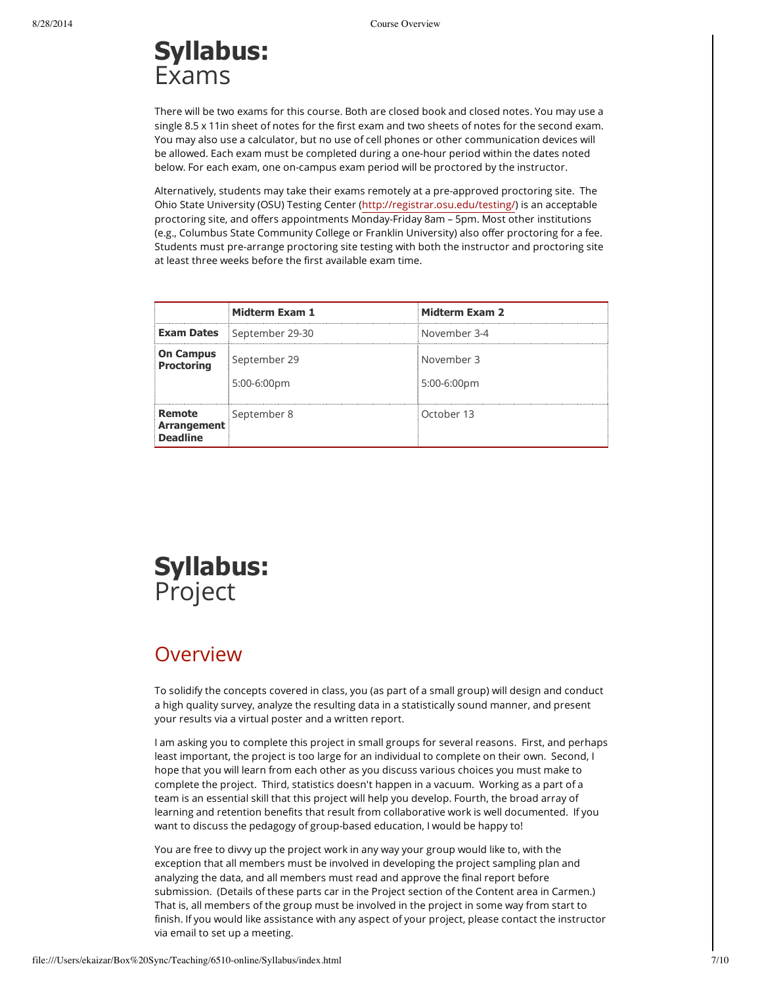# **Syllabus:** Exams

There will be two exams for this course. Both are closed book and closed notes. You may use a single 8.5 x 11in sheet of notes for the first exam and two sheets of notes for the second exam. You may also use a calculator, but no use of cell phones or other communication devices will be allowed. Each exam must be completed during a one-hour period within the dates noted below. For each exam, one on-campus exam period will be proctored by the instructor.

Alternatively, students may take their exams remotely at a pre-approved proctoring site. The Ohio State University (OSU) Testing Center (<http://registrar.osu.edu/testing/>) is an acceptable proctoring site, and offers appointments Monday-Friday 8am – 5pm. Most other institutions (e.g., Columbus State Community College or Franklin University) also offer proctoring for a fee. Students must pre-arrange proctoring site testing with both the instructor and proctoring site at least three weeks before the first available exam time.

|                                          | Midterm Exam 1                 | <b>Midterm Exam 2</b>     |
|------------------------------------------|--------------------------------|---------------------------|
| <b>Exam Dates</b>                        | September 29-30                | November 3-4              |
| <b>On Campus</b><br><b>Proctoring</b>    | September 29<br>$5:00-6:00$ pm | November 3<br>5:00-6:00pm |
| Remote<br>Arrangement<br><b>Deadline</b> | September 8                    | October 13                |

## **Syllabus:** Project

#### **Overview**

To solidify the concepts covered in class, you (as part of a small group) will design and conduct a high quality survey, analyze the resulting data in a statistically sound manner, and present your results via a virtual poster and a written report.

I am asking you to complete this project in small groups for several reasons. First, and perhaps least important, the project is too large for an individual to complete on their own. Second, I hope that you will learn from each other as you discuss various choices you must make to complete the project. Third, statistics doesn't happen in a vacuum. Working as a part of a team is an essential skill that this project will help you develop. Fourth, the broad array of learning and retention benefits that result from collaborative work is well documented. If you want to discuss the pedagogy of group-based education, I would be happy to!

You are free to divvy up the project work in any way your group would like to, with the exception that all members must be involved in developing the project sampling plan and analyzing the data, and all members must read and approve the final report before submission. (Details of these parts car in the Project section of the Content area in Carmen.) That is, all members of the group must be involved in the project in some way from start to finish. If you would like assistance with any aspect of your project, please contact the instructor via email to set up a meeting.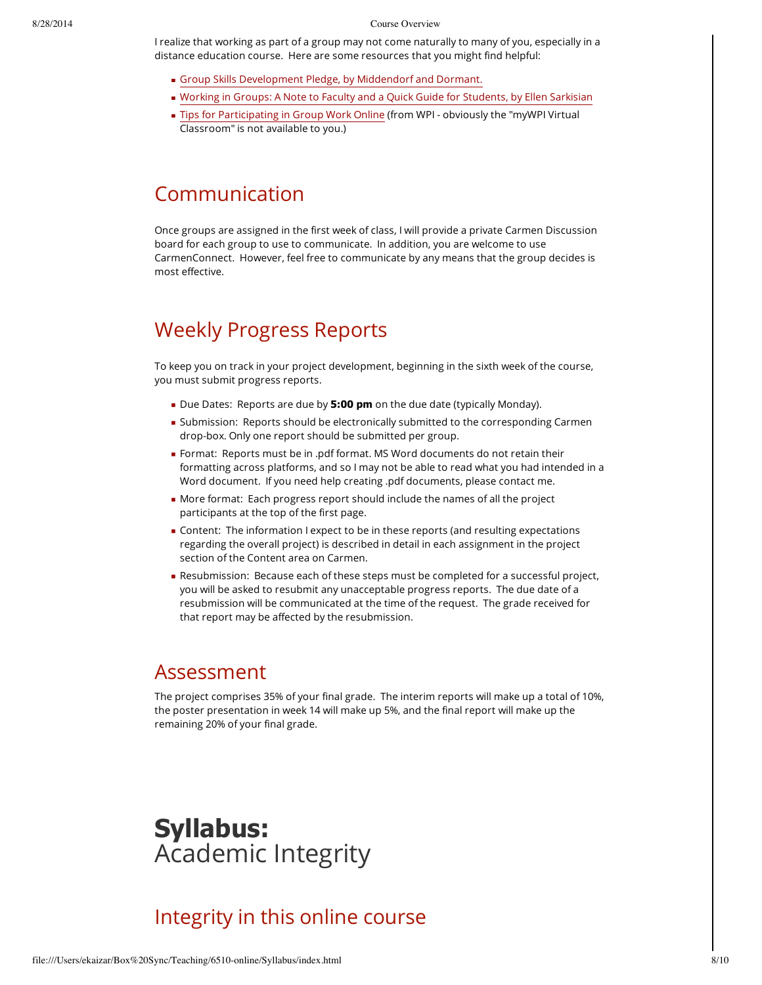I realize that working as part of a group may not come naturally to many of you, especially in a distance education course. Here are some resources that you might find helpful:

- Group Skills [Development](http://citl.indiana.edu/misc_pages/groupSkills.php) Pledge, by Middendorf and Dormant.
- Working in Groups: A Note to Faculty and a Quick Guide for [Students,](http://isites.harvard.edu/fs/html/icb.topic58474/wigintro.html) by Ellen Sarkisian
- Tips for [Participating](https://www.wpi.edu/Academics/ATC/Collaboratory/Teaching/onlinegrouptips.pdf) in Group Work Online (from WPI obviously the "myWPI Virtual Classroom" is not available to you.)

#### Communication

Once groups are assigned in the first week of class, I will provide a private Carmen Discussion board for each group to use to communicate. In addition, you are welcome to use CarmenConnect. However, feel free to communicate by any means that the group decides is most effective.

## Weekly Progress Reports

To keep you on track in your project development, beginning in the sixth week of the course, you must submit progress reports.

- Due Dates: Reports are due by **5:00 pm** on the due date (typically Monday).
- **Submission: Reports should be electronically submitted to the corresponding Carmen** drop-box. Only one report should be submitted per group.
- Format: Reports must be in .pdf format. MS Word documents do not retain their formatting across platforms, and so I may not be able to read what you had intended in a Word document. If you need help creating .pdf documents, please contact me.
- More format: Each progress report should include the names of all the project participants at the top of the first page.
- Content: The information I expect to be in these reports (and resulting expectations regarding the overall project) is described in detail in each assignment in the project section of the Content area on Carmen.
- Resubmission: Because each of these steps must be completed for a successful project, you will be asked to resubmit any unacceptable progress reports. The due date of a resubmission will be communicated at the time of the request. The grade received for that report may be affected by the resubmission.

#### Assessment

The project comprises 35% of your final grade. The interim reports will make up a total of 10%, the poster presentation in week 14 will make up 5%, and the final report will make up the remaining 20% of your final grade.

## **Syllabus:** Academic Integrity

### Integrity in this online course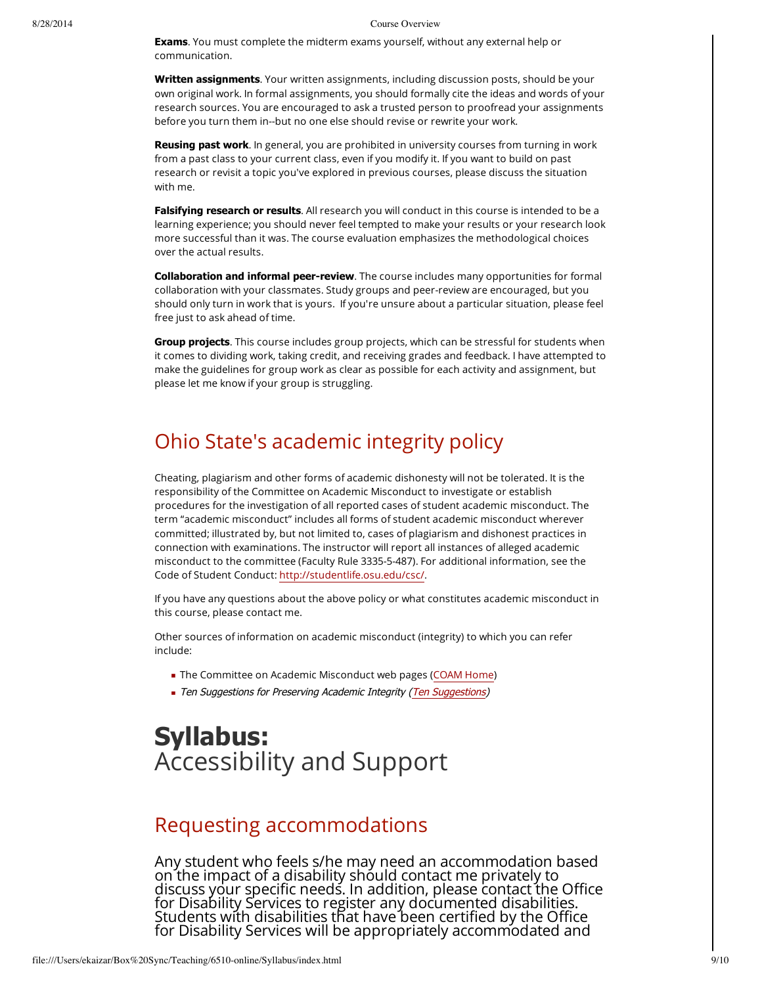**Exams**. You must complete the midterm exams yourself, without any external help or communication.

**Written assignments**. Your written assignments, including discussion posts, should be your own original work. In formal assignments, you should formally cite the ideas and words of your research sources. You are encouraged to ask a trusted person to proofread your assignments before you turn them in--but no one else should revise or rewrite your work.

**Reusing past work**. In general, you are prohibited in university courses from turning in work from a past class to your current class, even if you modify it. If you want to build on past research or revisit a topic you've explored in previous courses, please discuss the situation with me.

**Falsifying research or results**. All research you will conduct in this course is intended to be a learning experience; you should never feel tempted to make your results or your research look more successful than it was. The course evaluation emphasizes the methodological choices over the actual results.

**Collaboration and informal peer-review**. The course includes many opportunities for formal collaboration with your classmates. Study groups and peer-review are encouraged, but you should only turn in work that is yours. If you're unsure about a particular situation, please feel free just to ask ahead of time.

**Group projects**. This course includes group projects, which can be stressful for students when it comes to dividing work, taking credit, and receiving grades and feedback. I have attempted to make the guidelines for group work as clear as possible for each activity and assignment, but please let me know if your group is struggling.

#### Ohio State's academic integrity policy

Cheating, plagiarism and other forms of academic dishonesty will not be tolerated. It is the responsibility of the Committee on Academic Misconduct to investigate or establish procedures for the investigation of all reported cases of student academic misconduct. The term "academic misconduct" includes all forms of student academic misconduct wherever committed; illustrated by, but not limited to, cases of plagiarism and dishonest practices in connection with examinations. The instructor will report all instances of alleged academic misconduct to the committee (Faculty Rule 3335-5-487). For additional information, see the Code of Student Conduct: <http://studentlife.osu.edu/csc/>.

If you have any questions about the above policy or what constitutes academic misconduct in this course, please contact me.

Other sources of information on academic misconduct (integrity) to which you can refer include:

- **The Committee on Academic Misconduct web pages [\(COAM](http://oaa.osu.edu/coam.html) Home)**
- Ten [Suggestions](http://oaa.osu.edu/coamtensuggestions.html) for Preserving Academic Integrity (Ten Suggestions)

# **Syllabus:** Accessibility and Support

#### Requesting accommodations

Any student who feels s/he may need an accommodation based on the impact of a disability should contact me privately to discuss your specific needs. In addition, please contact the Office for Disability Services to register any documented disabilities. Students with disabilities that have been certified by the Office for Disability Services will be appropriately accommodated and